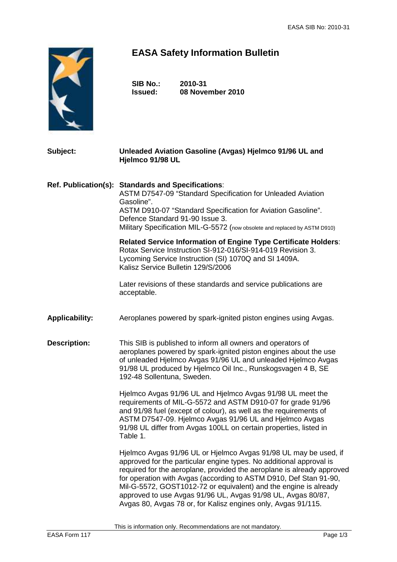

## **EASA Safety Information Bulletin**

**SIB No.: 2010-31 Issued: 08 November 2010** 

## **Subject: Unleaded Aviation Gasoline (Avgas) Hjelmco 91/96 UL and Hjelmco 91/98 UL**

**Ref. Publication(s): Standards and Specifications**: ASTM D7547-09 "Standard Specification for Unleaded Aviation Gasoline". ASTM D910-07 "Standard Specification for Aviation Gasoline". Defence Standard 91-90 Issue 3. Military Specification MIL-G-5572 (now obsolete and replaced by ASTM D910)

> **Related Service Information of Engine Type Certificate Holders**: Rotax Service Instruction SI-912-016/SI-914-019 Revision 3. Lycoming Service Instruction (SI) 1070Q and SI 1409A. Kalisz Service Bulletin 129/S/2006

 Later revisions of these standards and service publications are acceptable.

**Applicability:** Aeroplanes powered by spark-ignited piston engines using Avgas.

**Description:** This SIB is published to inform all owners and operators of aeroplanes powered by spark-ignited piston engines about the use of unleaded Hjelmco Avgas 91/96 UL and unleaded Hjelmco Avgas 91/98 UL produced by Hjelmco Oil Inc., Runskogsvagen 4 B, SE 192-48 Sollentuna, Sweden.

> Hjelmco Avgas 91/96 UL and Hjelmco Avgas 91/98 UL meet the requirements of MIL-G-5572 and ASTM D910-07 for grade 91/96 and 91/98 fuel (except of colour), as well as the requirements of ASTM D7547-09. Hjelmco Avgas 91/96 UL and Hjelmco Avgas 91/98 UL differ from Avgas 100LL on certain properties, listed in Table 1.

Hjelmco Avgas 91/96 UL or Hjelmco Avgas 91/98 UL may be used, if approved for the particular engine types. No additional approval is required for the aeroplane, provided the aeroplane is already approved for operation with Avgas (according to ASTM D910, Def Stan 91-90, Mil-G-5572, GOST1012-72 or equivalent) and the engine is already approved to use Avgas 91/96 UL, Avgas 91/98 UL, Avgas 80/87, Avgas 80, Avgas 78 or, for Kalisz engines only, Avgas 91/115.

This is information only. Recommendations are not mandatory.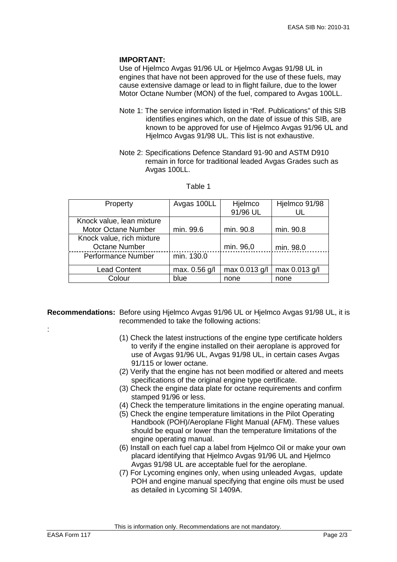## **IMPORTANT:**

Use of Hjelmco Avgas 91/96 UL or Hjelmco Avgas 91/98 UL in engines that have not been approved for the use of these fuels, may cause extensive damage or lead to in flight failure, due to the lower Motor Octane Number (MON) of the fuel, compared to Avgas 100LL.

- Note 1: The service information listed in "Ref. Publications" of this SIB identifies engines which, on the date of issue of this SIB, are known to be approved for use of Hjelmco Avgas 91/96 UL and Hjelmco Avgas 91/98 UL. This list is not exhaustive.
- Note 2: Specifications Defence Standard 91-90 and ASTM D910 remain in force for traditional leaded Avgas Grades such as Avgas 100LL.

| Property                   | Avgas 100LL   | Hjelmco       | Hjelmco 91/98 |
|----------------------------|---------------|---------------|---------------|
|                            |               | 91/96 UL      |               |
| Knock value, lean mixture  |               |               |               |
| <b>Motor Octane Number</b> | min. 99.6     | min. 90.8     | min. 90.8     |
| Knock value, rich mixture  |               |               |               |
| <b>Octane Number</b>       |               | min. 96,0     | min. 98.0     |
| Performance Number         | min. 130.0    |               |               |
| <b>Lead Content</b>        | max. 0.56 g/l | max 0.013 g/l | max 0.013 g/l |
| Colour                     | blue          | none          | none          |

## Table 1

- **Recommendations:** Before using Hjelmco Avgas 91/96 UL or Hjelmco Avgas 91/98 UL, it is recommended to take the following actions:
	- (1) Check the latest instructions of the engine type certificate holders to verify if the engine installed on their aeroplane is approved for use of Avgas 91/96 UL, Avgas 91/98 UL, in certain cases Avgas 91/115 or lower octane.
	- (2) Verify that the engine has not been modified or altered and meets specifications of the original engine type certificate.
	- (3) Check the engine data plate for octane requirements and confirm stamped 91/96 or less.
	- (4) Check the temperature limitations in the engine operating manual.
	- (5) Check the engine temperature limitations in the Pilot Operating Handbook (POH)/Aeroplane Flight Manual (AFM). These values should be equal or lower than the temperature limitations of the engine operating manual.
	- (6) Install on each fuel cap a label from Hjelmco Oil or make your own placard identifying that Hjelmco Avgas 91/96 UL and Hjelmco Avgas 91/98 UL are acceptable fuel for the aeroplane.
	- (7) For Lycoming engines only, when using unleaded Avgas, update POH and engine manual specifying that engine oils must be used as detailed in Lycoming SI 1409A.

This is information only. Recommendations are not mandatory.

: